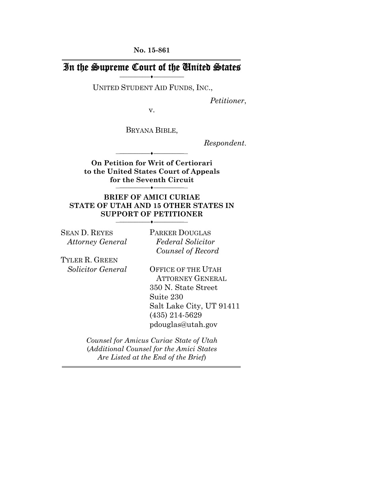**No. 15-861** 

## In the Supreme Court of the United States **――――――――♦――――――――**

UNITED STUDENT AID FUNDS, INC.,

*Petitioner*,

v.

BRYANA BIBLE,

*Respondent*.

**On Petition for Writ of Certiorari to the United States Court of Appeals for the Seventh Circuit** 

―**――――――――♦――――――――**―

―**――――――――♦――――――――**―

#### **BRIEF OF AMICI CURIAE STATE OF UTAH AND 15 OTHER STATES IN SUPPORT OF PETITIONER**

―**――――――――♦――――――――**―

SEAN D. REYES *Attorney General*  PARKER DOUGLAS *Federal Solicitor Counsel of Record*

TYLER R. GREEN *Solicitor General* 

OFFICE OF THE UTAH ATTORNEY GENERAL 350 N. State Street Suite 230 Salt Lake City, UT 91411 (435) 214-5629 pdouglas@utah.gov

*Counsel for Amicus Curiae State of Utah*  (*Additional Counsel for the Amici States Are Listed at the End of the Brief*)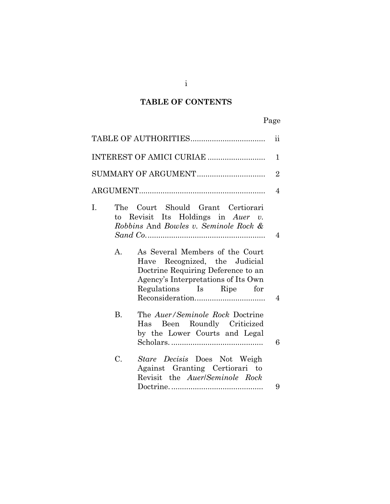## **TABLE OF CONTENTS**

# Page

|                      |                                                                                                                                                                                                                                                                                                 | $\overline{\mathbf{ii}}$ |
|----------------------|-------------------------------------------------------------------------------------------------------------------------------------------------------------------------------------------------------------------------------------------------------------------------------------------------|--------------------------|
|                      |                                                                                                                                                                                                                                                                                                 | 1                        |
|                      |                                                                                                                                                                                                                                                                                                 | $\overline{2}$           |
|                      |                                                                                                                                                                                                                                                                                                 | 4                        |
| I.<br>$\mathbf{A}$ . | The Court Should Grant Certiorari<br>to Revisit Its Holdings in Auer $v$ .<br>Robbins And Bowles v. Seminole Rock &<br>As Several Members of the Court<br>Have Recognized, the Judicial<br>Doctrine Requiring Deference to an<br>Agency's Interpretations of Its Own<br>Regulations Is Ripe for | 4<br>$\overline{4}$      |
| <b>B.</b>            | The Auer/Seminole Rock Doctrine<br>Been Roundly Criticized<br>Has<br>by the Lower Courts and Legal                                                                                                                                                                                              | 6                        |
| C.                   | Stare Decisis Does Not Weigh<br>Against Granting Certiorari to<br>Revisit the <i>Auer/Seminole Rock</i>                                                                                                                                                                                         | 9                        |

i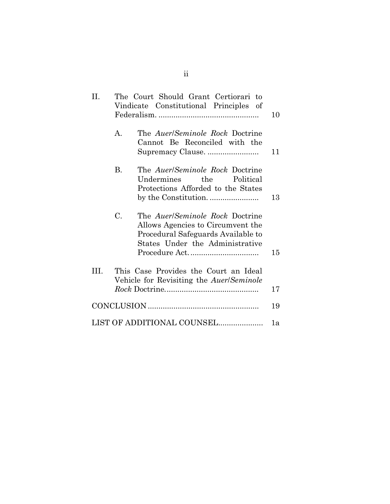| H.  | The Court Should Grant Certiorari to<br>Vindicate Constitutional Principles of |                                                                                                                                                      |    |
|-----|--------------------------------------------------------------------------------|------------------------------------------------------------------------------------------------------------------------------------------------------|----|
|     | $\mathbf{A}$                                                                   | The <i>Auer/Seminole Rock</i> Doctrine<br>Cannot Be Reconciled with the<br>Supremacy Clause.                                                         | 11 |
|     | <b>B.</b>                                                                      | The <i>Auer/Seminole Rock</i> Doctrine<br>the<br>Political<br>Undermines<br>Protections Afforded to the States                                       | 13 |
|     | C.                                                                             | The <i>Auer/Seminole Rock</i> Doctrine<br>Allows Agencies to Circumvent the<br>Procedural Safeguards Available to<br>States Under the Administrative | 15 |
| TH. |                                                                                | This Case Provides the Court an Ideal<br>Vehicle for Revisiting the Auer/Seminole                                                                    | 17 |
|     |                                                                                |                                                                                                                                                      | 19 |
|     |                                                                                | LIST OF ADDITIONAL COUNSEL                                                                                                                           | 1a |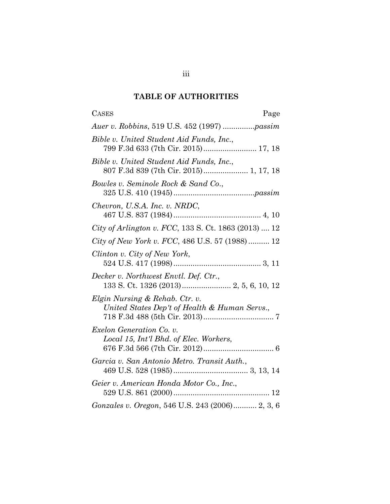## **TABLE OF AUTHORITIES**

| <b>CASES</b><br>Page                                                               |
|------------------------------------------------------------------------------------|
| Auer v. Robbins, 519 U.S. 452 (1997) passim                                        |
| Bible v. United Student Aid Funds, Inc.,<br>799 F.3d 633 (7th Cir. 2015) 17, 18    |
| Bible v. United Student Aid Funds, Inc.,<br>807 F.3d 839 (7th Cir. 2015) 1, 17, 18 |
| Bowles v. Seminole Rock & Sand Co.,                                                |
| Chevron, U.S.A. Inc. v. NRDC,                                                      |
| City of Arlington v. FCC, 133 S. Ct. 1863 (2013)  12                               |
| City of New York v. FCC, 486 U.S. 57 (1988) 12                                     |
| Clinton v. City of New York,                                                       |
| Decker v. Northwest Envtl. Def. Ctr.,                                              |
| Elgin Nursing & Rehab. Ctr. v.<br>United States Dep't of Health & Human Servs.,    |
| Exelon Generation Co. v.<br>Local 15, Int'l Bhd. of Elec. Workers,                 |
| Garcia v. San Antonio Metro. Transit Auth.,                                        |
| Geier v. American Honda Motor Co., Inc.,                                           |
| Gonzales v. Oregon, 546 U.S. 243 (2006) 2, 3, 6                                    |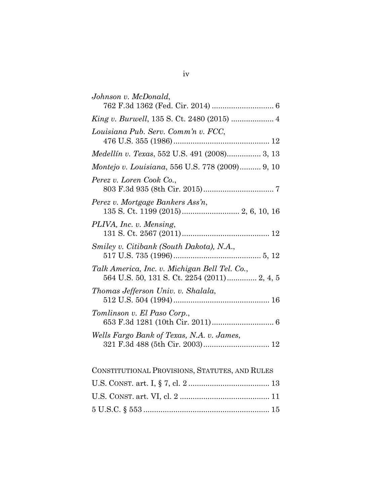| Johnson v. McDonald,                                                                         |
|----------------------------------------------------------------------------------------------|
|                                                                                              |
| Louisiana Pub. Serv. Comm'n v. FCC,                                                          |
| Medellín v. Texas, 552 U.S. 491 (2008) 3, 13                                                 |
| <i>Montejo v. Louisiana, 556 U.S. 778 (2009)</i> 9, 10                                       |
| Perez v. Loren Cook Co.,                                                                     |
| Perez v. Mortgage Bankers Ass'n,                                                             |
| PLIVA, Inc. v. Mensing,                                                                      |
| Smiley v. Citibank (South Dakota), N.A.,                                                     |
| Talk America, Inc. v. Michigan Bell Tel. Co.,<br>564 U.S. 50, 131 S. Ct. 2254 (2011) 2, 4, 5 |
| Thomas Jefferson Univ. v. Shalala,                                                           |
| Tomlinson v. El Paso Corp.,                                                                  |
| Wells Fargo Bank of Texas, N.A. v. James,<br>321 F.3d 488 (5th Cir. 2003) 12                 |
| CONSTITUTIONAL PROVISIONS, STATUTES, AND RULES                                               |
|                                                                                              |

| CONSTITUTIONAL PROVISIONS, STATUTES, AND RULES |  |
|------------------------------------------------|--|
|                                                |  |
|                                                |  |
|                                                |  |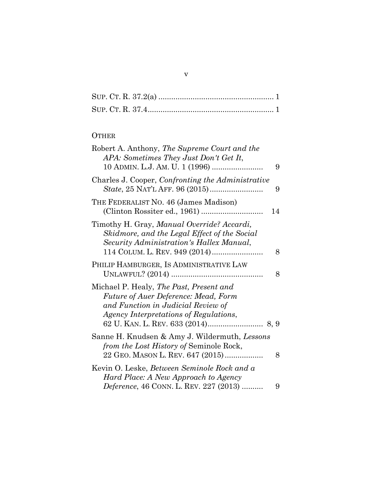# **OTHER**

| Robert A. Anthony, The Supreme Court and the<br>APA: Sometimes They Just Don't Get It,                                                                                 | 9  |
|------------------------------------------------------------------------------------------------------------------------------------------------------------------------|----|
| Charles J. Cooper, Confronting the Administrative                                                                                                                      | 9  |
| THE FEDERALIST NO. 46 (James Madison)                                                                                                                                  | 14 |
| Timothy H. Gray, Manual Override? Accardi,<br>Skidmore, and the Legal Effect of the Social<br>Security Administration's Hallex Manual,                                 | 8  |
| PHILIP HAMBURGER, IS ADMINISTRATIVE LAW                                                                                                                                | 8  |
| Michael P. Healy, The Past, Present and<br><b>Future of Auer Deference: Mead, Form</b><br>and Function in Judicial Review of<br>Agency Interpretations of Regulations, |    |
| Sanne H. Knudsen & Amy J. Wildermuth, Lessons<br>from the Lost History of Seminole Rock,<br>22 GEO. MASON L. REV. 647 (2015)                                           | 8  |
| Kevin O. Leske, Between Seminole Rock and a<br>Hard Place: A New Approach to Agency<br>Deference, 46 CONN. L. REV. 227 (2013)                                          | 9  |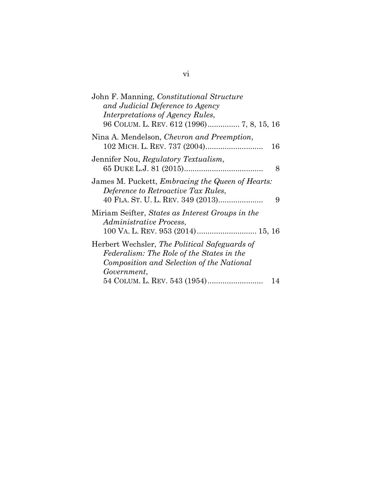| John F. Manning, Constitutional Structure<br>and Judicial Deference to Agency<br><i>Interpretations of Agency Rules,</i><br>96 COLUM. L. REV. 612 (1996) 7, 8, 15, 16 |    |
|-----------------------------------------------------------------------------------------------------------------------------------------------------------------------|----|
| Nina A. Mendelson, <i>Chevron and Preemption</i> ,                                                                                                                    | 16 |
| Jennifer Nou, Regulatory Textualism,                                                                                                                                  | 8  |
| James M. Puckett, <i>Embracing the Queen of Hearts</i> :<br>Deference to Retroactive Tax Rules,<br>40 FLA. ST. U. L. REV. 349 (2013)                                  | 9  |
| Miriam Seifter, States as Interest Groups in the<br><i>Administrative Process,</i>                                                                                    |    |
| Herbert Wechsler, <i>The Political Safeguards of</i><br>Federalism: The Role of the States in the<br>Composition and Selection of the National                        |    |
| Government,                                                                                                                                                           | 14 |
|                                                                                                                                                                       |    |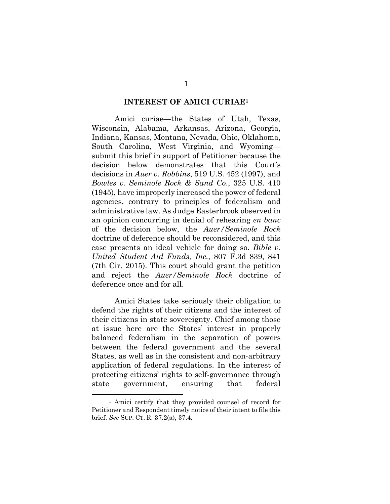#### **INTEREST OF AMICI CURIAE1**

Amici curiae—the States of Utah, Texas, Wisconsin, Alabama, Arkansas, Arizona, Georgia, Indiana, Kansas, Montana, Nevada, Ohio, Oklahoma, South Carolina, West Virginia, and Wyoming submit this brief in support of Petitioner because the decision below demonstrates that this Court's decisions in *Auer v. Robbins*, 519 U.S. 452 (1997), and *Bowles v. Seminole Rock & Sand Co*., 325 U.S. 410 (1945), have improperly increased the power of federal agencies, contrary to principles of federalism and administrative law. As Judge Easterbrook observed in an opinion concurring in denial of rehearing *en banc* of the decision below, the *Auer/Seminole Rock* doctrine of deference should be reconsidered, and this case presents an ideal vehicle for doing so. *Bible v. United Student Aid Funds, Inc.*, 807 F.3d 839, 841 (7th Cir. 2015). This court should grant the petition and reject the *Auer/Seminole Rock* doctrine of deference once and for all.

Amici States take seriously their obligation to defend the rights of their citizens and the interest of their citizens in state sovereignty. Chief among those at issue here are the States' interest in properly balanced federalism in the separation of powers between the federal government and the several States, as well as in the consistent and non-arbitrary application of federal regulations. In the interest of protecting citizens' rights to self-governance through state government, ensuring that federal

<sup>1</sup> Amici certify that they provided counsel of record for Petitioner and Respondent timely notice of their intent to file this brief. *See* SUP. CT. R. 37.2(a), 37.4.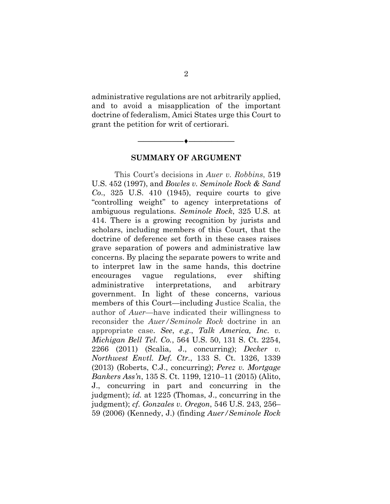administrative regulations are not arbitrarily applied, and to avoid a misapplication of the important doctrine of federalism, Amici States urge this Court to grant the petition for writ of certiorari.



#### **SUMMARY OF ARGUMENT**

This Court's decisions in *Auer v. Robbins*, 519 U.S. 452 (1997), and *Bowles v. Seminole Rock & Sand Co*., 325 U.S. 410 (1945), require courts to give "controlling weight" to agency interpretations of ambiguous regulations. *Seminole Rock*, 325 U.S. at 414. There is a growing recognition by jurists and scholars, including members of this Court, that the doctrine of deference set forth in these cases raises grave separation of powers and administrative law concerns. By placing the separate powers to write and to interpret law in the same hands, this doctrine encourages vague regulations, ever shifting administrative interpretations, and arbitrary government. In light of these concerns, various members of this Court—including Justice Scalia, the author of *Auer*—have indicated their willingness to reconsider the *Auer/Seminole Rock* doctrine in an appropriate case. *See*, *e.g*., *Talk America, Inc. v. Michigan Bell Tel. Co.*, 564 U.S. 50, 131 S. Ct. 2254, 2266 (2011) (Scalia, J., concurring); *Decker v. Northwest Envtl. Def. Ctr.*, 133 S. Ct. 1326, 1339 (2013) (Roberts, C.J., concurring); *Perez v. Mortgage Bankers Ass'n*, 135 S. Ct. 1199, 1210–11 (2015) (Alito, J., concurring in part and concurring in the judgment); *id.* at 1225 (Thomas, J., concurring in the judgment); *cf. Gonzales v. Oregon*, 546 U.S. 243, 256– 59 (2006) (Kennedy, J.) (finding *Auer/Seminole Rock*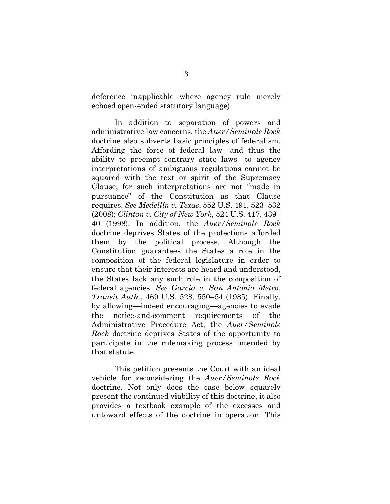deference inapplicable where agency rule merely echoed open-ended statutory language).

In addition to separation of powers and administrative law concerns, the *Auer/Seminole Rock* doctrine also subverts basic principles of federalism. Affording the force of federal law—and thus the ability to preempt contrary state laws—to agency interpretations of ambiguous regulations cannot be squared with the text or spirit of the Supremacy Clause, for such interpretations are not "made in pursuance" of the Constitution as that Clause requires. *See Medellín v. Texas*, 552 U.S. 491, 523–532 (2008); *Clinton v. City of New York*, 524 U.S. 417, 439– 40 (1998). In addition, the *Auer/Seminole Rock* doctrine deprives States of the protections afforded them by the political process. Although the Constitution guarantees the States a role in the composition of the federal legislature in order to ensure that their interests are heard and understood, the States lack any such role in the composition of federal agencies. *See Garcia v. San Antonio Metro. Transit Auth.*, 469 U.S. 528, 550–54 (1985). Finally, by allowing—indeed encouraging—agencies to evade the notice-and-comment requirements of the Administrative Procedure Act, the *Auer/Seminole Rock* doctrine deprives States of the opportunity to participate in the rulemaking process intended by that statute.

This petition presents the Court with an ideal vehicle for reconsidering the *Auer/Seminole Rock* doctrine. Not only does the case below squarely present the continued viability of this doctrine, it also provides a textbook example of the excesses and untoward effects of the doctrine in operation. This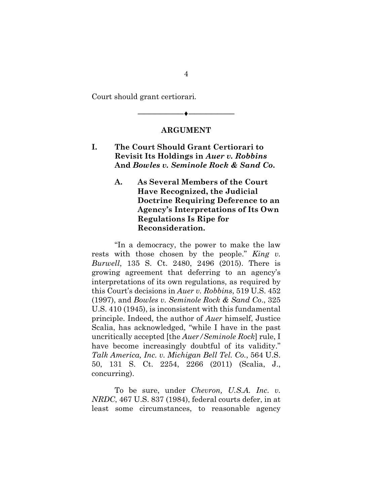Court should grant certiorari*.*

#### **ARGUMENT**

**――――――――♦――――――――**

## **I. The Court Should Grant Certiorari to Revisit Its Holdings in** *Auer v. Robbins*  **And** *Bowles v. Seminole Rock & Sand Co***.**

#### **A. As Several Members of the Court Have Recognized, the Judicial Doctrine Requiring Deference to an Agency's Interpretations of Its Own Regulations Is Ripe for Reconsideration.**

"In a democracy, the power to make the law rests with those chosen by the people." *King v. Burwell*, 135 S. Ct. 2480, 2496 (2015). There is growing agreement that deferring to an agency's interpretations of its own regulations, as required by this Court's decisions in *Auer v. Robbins*, 519 U.S. 452 (1997), and *Bowles v. Seminole Rock & Sand Co*., 325 U.S. 410 (1945), is inconsistent with this fundamental principle. Indeed, the author of *Auer* himself, Justice Scalia, has acknowledged, "while I have in the past uncritically accepted [the *Auer/Seminole Rock*] rule, I have become increasingly doubtful of its validity." *Talk America, Inc. v. Michigan Bell Tel. Co.*, 564 U.S. 50, 131 S. Ct. 2254, 2266 (2011) (Scalia, J., concurring).

To be sure, under *Chevron, U.S.A. Inc. v. NRDC*, 467 U.S. 837 (1984), federal courts defer, in at least some circumstances, to reasonable agency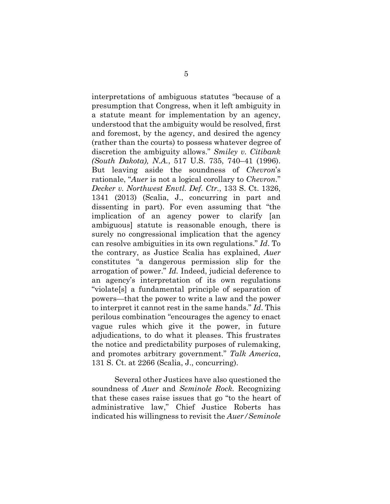interpretations of ambiguous statutes "because of a presumption that Congress, when it left ambiguity in a statute meant for implementation by an agency, understood that the ambiguity would be resolved, first and foremost, by the agency, and desired the agency (rather than the courts) to possess whatever degree of discretion the ambiguity allows." *Smiley v. Citibank (South Dakota), N.A.*, 517 U.S. 735, 740–41 (1996). But leaving aside the soundness of *Chevron*'s rationale, "*Auer* is not a logical corollary to *Chevron*." *Decker v. Northwest Envtl. Def. Ctr.*, 133 S. Ct. 1326, 1341 (2013) (Scalia, J., concurring in part and dissenting in part). For even assuming that "the implication of an agency power to clarify [an ambiguous] statute is reasonable enough, there is surely no congressional implication that the agency can resolve ambiguities in its own regulations." *Id*. To the contrary, as Justice Scalia has explained, *Auer* constitutes "a dangerous permission slip for the arrogation of power." *Id.* Indeed, judicial deference to an agency's interpretation of its own regulations "violate[s] a fundamental principle of separation of powers—that the power to write a law and the power to interpret it cannot rest in the same hands." *Id*. This perilous combination "encourages the agency to enact vague rules which give it the power, in future adjudications, to do what it pleases. This frustrates the notice and predictability purposes of rulemaking, and promotes arbitrary government." *Talk America*, 131 S. Ct. at 2266 (Scalia, J., concurring).

Several other Justices have also questioned the soundness of *Auer* and *Seminole Rock.* Recognizing that these cases raise issues that go "to the heart of administrative law," Chief Justice Roberts has indicated his willingness to revisit the *Auer/Seminole*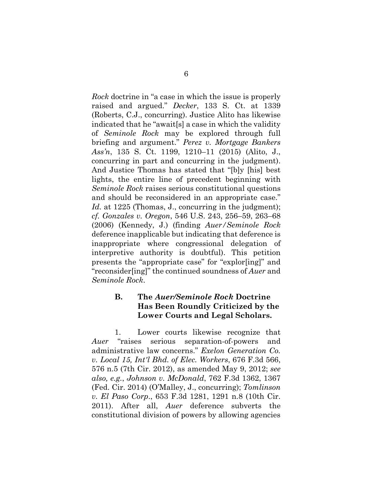*Rock* doctrine in "a case in which the issue is properly raised and argued." *Decker*, 133 S. Ct. at 1339 (Roberts, C.J., concurring). Justice Alito has likewise indicated that he "await[s] a case in which the validity of *Seminole Rock* may be explored through full briefing and argument." *Perez v. Mortgage Bankers Ass'n*, 135 S. Ct. 1199, 1210–11 (2015) (Alito, J., concurring in part and concurring in the judgment). And Justice Thomas has stated that "[b]y [his] best lights, the entire line of precedent beginning with *Seminole Rock* raises serious constitutional questions and should be reconsidered in an appropriate case." Id. at 1225 (Thomas, J., concurring in the judgment); *cf. Gonzales v. Oregon*, 546 U.S. 243, 256–59, 263–68 (2006) (Kennedy, J.) (finding *Auer/Seminole Rock* deference inapplicable but indicating that deference is inappropriate where congressional delegation of interpretive authority is doubtful). This petition presents the "appropriate case" for "explor[ing]" and "reconsider[ing]" the continued soundness of *Auer* and *Seminole Rock*.

#### **B. The** *Auer/Seminole Rock* **Doctrine Has Been Roundly Criticized by the Lower Courts and Legal Scholars.**

1. Lower courts likewise recognize that *Auer* "raises serious separation-of-powers and administrative law concerns." *Exelon Generation Co. v. Local 15, Int'l Bhd. of Elec. Workers*, 676 F.3d 566, 576 n.5 (7th Cir. 2012), as amended May 9, 2012; *see also, e.g.*, *Johnson v. McDonald*, 762 F.3d 1362, 1367 (Fed. Cir. 2014) (O'Malley, J., concurring); *Tomlinson v. El Paso Corp*., 653 F.3d 1281, 1291 n.8 (10th Cir. 2011). After all, *Auer* deference subverts the constitutional division of powers by allowing agencies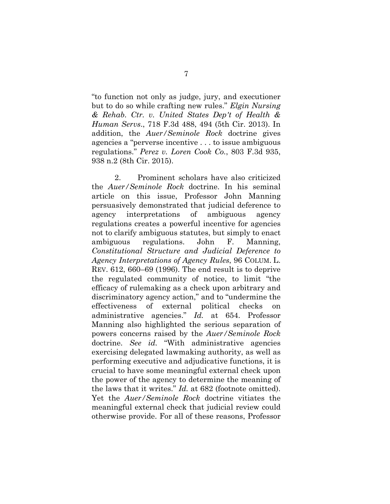"to function not only as judge, jury, and executioner but to do so while crafting new rules." *Elgin Nursing & Rehab. Ctr. v. United States Dep't of Health & Human Servs*., 718 F.3d 488, 494 (5th Cir. 2013). In addition, the *Auer/Seminole Rock* doctrine gives agencies a "perverse incentive . . . to issue ambiguous regulations." *Perez v. Loren Cook Co.*, 803 F.3d 935, 938 n.2 (8th Cir. 2015).

2. Prominent scholars have also criticized the *Auer/Seminole Rock* doctrine. In his seminal article on this issue, Professor John Manning persuasively demonstrated that judicial deference to agency interpretations of ambiguous agency regulations creates a powerful incentive for agencies not to clarify ambiguous statutes, but simply to enact ambiguous regulations. John F. Manning, *Constitutional Structure and Judicial Deference to Agency Interpretations of Agency Rules*, 96 COLUM. L. REV. 612, 660–69 (1996). The end result is to deprive the regulated community of notice, to limit "the efficacy of rulemaking as a check upon arbitrary and discriminatory agency action," and to "undermine the effectiveness of external political checks on administrative agencies." *Id.* at 654. Professor Manning also highlighted the serious separation of powers concerns raised by the *Auer/Seminole Rock* doctrine. *See id.* "With administrative agencies exercising delegated lawmaking authority, as well as performing executive and adjudicative functions, it is crucial to have some meaningful external check upon the power of the agency to determine the meaning of the laws that it writes." *Id.* at 682 (footnote omitted). Yet the *Auer/Seminole Rock* doctrine vitiates the meaningful external check that judicial review could otherwise provide. For all of these reasons, Professor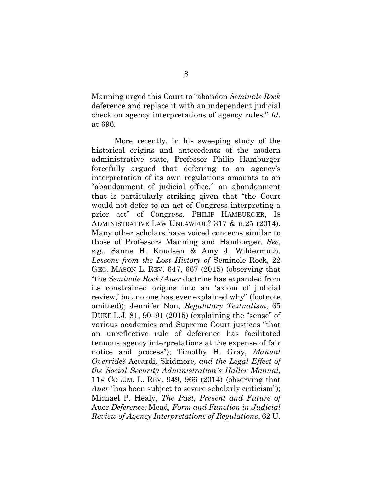Manning urged this Court to "abandon *Seminole Rock* deference and replace it with an independent judicial check on agency interpretations of agency rules." *Id*. at 696.

More recently, in his sweeping study of the historical origins and antecedents of the modern administrative state, Professor Philip Hamburger forcefully argued that deferring to an agency's interpretation of its own regulations amounts to an "abandonment of judicial office," an abandonment that is particularly striking given that "the Court would not defer to an act of Congress interpreting a prior act" of Congress. PHILIP HAMBURGER, IS ADMINISTRATIVE LAW UNLAWFUL? 317 & n.25 (2014). Many other scholars have voiced concerns similar to those of Professors Manning and Hamburger. *See*, *e.g*., Sanne H. Knudsen & Amy J. Wildermuth, *Lessons from the Lost History of* Seminole Rock, 22 GEO. MASON L. REV. 647, 667 (2015) (observing that "the *Seminole Rock/Auer* doctrine has expanded from its constrained origins into an 'axiom of judicial review,' but no one has ever explained why" (footnote omitted)); Jennifer Nou, *Regulatory Textualism*, 65 DUKE L.J. 81, 90–91 (2015) (explaining the "sense" of various academics and Supreme Court justices "that an unreflective rule of deference has facilitated tenuous agency interpretations at the expense of fair notice and process"); Timothy H. Gray, *Manual Override?* Accardi*,* Skidmore*, and the Legal Effect of the Social Security Administration's Hallex Manual*, 114 COLUM. L. REV. 949, 966 (2014) (observing that *Auer* "has been subject to severe scholarly criticism"); Michael P. Healy, *The Past, Present and Future of*  Auer *Deference:* Mead*, Form and Function in Judicial Review of Agency Interpretations of Regulations*, 62 U.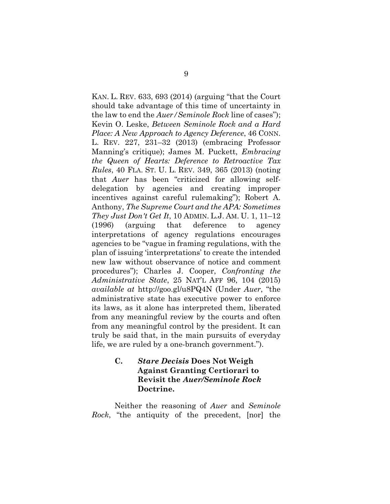KAN. L. REV. 633, 693 (2014) (arguing "that the Court should take advantage of this time of uncertainty in the law to end the *Auer/Seminole Rock* line of cases"); Kevin O. Leske, *Between Seminole Rock and a Hard Place: A New Approach to Agency Deference*, 46 CONN. L. REV. 227, 231–32 (2013) (embracing Professor Manning's critique); James M. Puckett, *Embracing the Queen of Hearts: Deference to Retroactive Tax Rules*, 40 FLA. ST. U. L. REV. 349, 365 (2013) (noting that *Auer* has been "criticized for allowing selfdelegation by agencies and creating improper incentives against careful rulemaking"); Robert A. Anthony, *The Supreme Court and the APA: Sometimes They Just Don't Get It*, 10 ADMIN. L.J. AM. U. 1, 11–12 (1996) (arguing that deference to agency interpretations of agency regulations encourages agencies to be "vague in framing regulations, with the plan of issuing 'interpretations' to create the intended new law without observance of notice and comment procedures"); Charles J. Cooper, *Confronting the Administrative State*, 25 NAT'L AFF 96, 104 (2015) *available at* http://goo.gl/u8PQ4N (Under *Auer*, "the administrative state has executive power to enforce its laws, as it alone has interpreted them, liberated from any meaningful review by the courts and often from any meaningful control by the president. It can truly be said that, in the main pursuits of everyday life, we are ruled by a one-branch government.").

#### **C.** *Stare Decisis* **Does Not Weigh Against Granting Certiorari to Revisit the** *Auer/Seminole Rock* **Doctrine.**

Neither the reasoning of *Auer* and *Seminole Rock*, "the antiquity of the precedent, [nor] the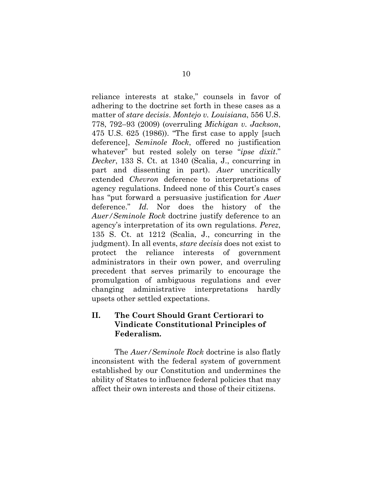reliance interests at stake," counsels in favor of adhering to the doctrine set forth in these cases as a matter of *stare decisis*. *Montejo v. Louisiana*, 556 U.S. 778, 792–93 (2009) (overruling *Michigan v. Jackson*, 475 U.S. 625 (1986)). "The first case to apply [such deference], *Seminole Rock*, offered no justification whatever" but rested solely on terse "*ipse dixit*." *Decker*, 133 S. Ct. at 1340 (Scalia, J., concurring in part and dissenting in part). *Auer* uncritically extended *Chevron* deference to interpretations of agency regulations. Indeed none of this Court's cases has "put forward a persuasive justification for *Auer* deference." *Id.* Nor does the history of the *Auer/Seminole Rock* doctrine justify deference to an agency's interpretation of its own regulations. *Perez*, 135 S. Ct. at 1212 (Scalia, J., concurring in the judgment). In all events, *stare decisis* does not exist to protect the reliance interests of government administrators in their own power, and overruling precedent that serves primarily to encourage the promulgation of ambiguous regulations and ever changing administrative interpretations hardly upsets other settled expectations.

## **II. The Court Should Grant Certiorari to Vindicate Constitutional Principles of Federalism.**

 The *Auer/Seminole Rock* doctrine is also flatly inconsistent with the federal system of government established by our Constitution and undermines the ability of States to influence federal policies that may affect their own interests and those of their citizens.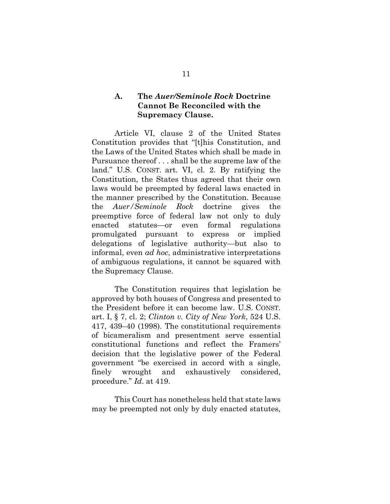#### **A. The** *Auer/Seminole Rock* **Doctrine Cannot Be Reconciled with the Supremacy Clause.**

 Article VI, clause 2 of the United States Constitution provides that "[t]his Constitution, and the Laws of the United States which shall be made in Pursuance thereof . . . shall be the supreme law of the land." U.S. CONST. art. VI, cl. 2. By ratifying the Constitution, the States thus agreed that their own laws would be preempted by federal laws enacted in the manner prescribed by the Constitution. Because the *Auer/Seminole Rock* doctrine gives the preemptive force of federal law not only to duly enacted statutes—or even formal regulations promulgated pursuant to express or implied delegations of legislative authority—but also to informal, even *ad hoc*, administrative interpretations of ambiguous regulations, it cannot be squared with the Supremacy Clause.

 The Constitution requires that legislation be approved by both houses of Congress and presented to the President before it can become law. U.S. CONST. art. I, § 7, cl. 2; *Clinton v. City of New York*, 524 U.S. 417, 439–40 (1998). The constitutional requirements of bicameralism and presentment serve essential constitutional functions and reflect the Framers' decision that the legislative power of the Federal government "be exercised in accord with a single, finely wrought and exhaustively considered, procedure." *Id*. at 419.

 This Court has nonetheless held that state laws may be preempted not only by duly enacted statutes,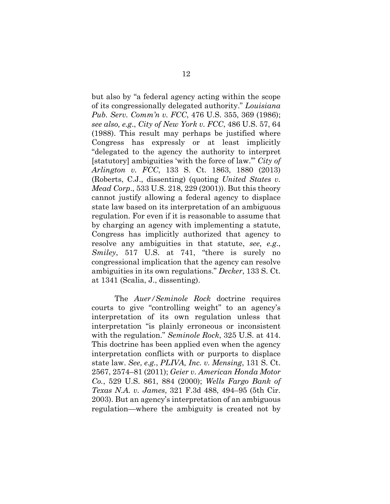but also by "a federal agency acting within the scope of its congressionally delegated authority." *Louisiana Pub. Serv. Comm'n v. FCC*, 476 U.S. 355, 369 (1986); *see also, e.g*., *City of New York v. FCC*, 486 U.S. 57, 64 (1988). This result may perhaps be justified where Congress has expressly or at least implicitly "delegated to the agency the authority to interpret [statutory] ambiguities 'with the force of law.'" *City of Arlington v. FCC*, 133 S. Ct. 1863, 1880 (2013) (Roberts, C.J., dissenting) (quoting *United States v. Mead Corp*., 533 U.S. 218, 229 (2001)). But this theory cannot justify allowing a federal agency to displace state law based on its interpretation of an ambiguous regulation. For even if it is reasonable to assume that by charging an agency with implementing a statute, Congress has implicitly authorized that agency to resolve any ambiguities in that statute, *see, e.g*., *Smiley*, 517 U.S. at 741, "there is surely no congressional implication that the agency can resolve ambiguities in its own regulations." *Decker*, 133 S. Ct. at 1341 (Scalia, J., dissenting).

The *Auer/Seminole Rock* doctrine requires courts to give "controlling weight" to an agency's interpretation of its own regulation unless that interpretation "is plainly erroneous or inconsistent with the regulation." *Seminole Rock*, 325 U.S. at 414. This doctrine has been applied even when the agency interpretation conflicts with or purports to displace state law. *See*, *e.g.*, *PLIVA, Inc. v. Mensing*, 131 S. Ct. 2567, 2574–81 (2011); *Geier v. American Honda Motor Co.*, 529 U.S. 861, 884 (2000); *Wells Fargo Bank of Texas N.A. v. James*, 321 F.3d 488, 494–95 (5th Cir. 2003). But an agency's interpretation of an ambiguous regulation—where the ambiguity is created not by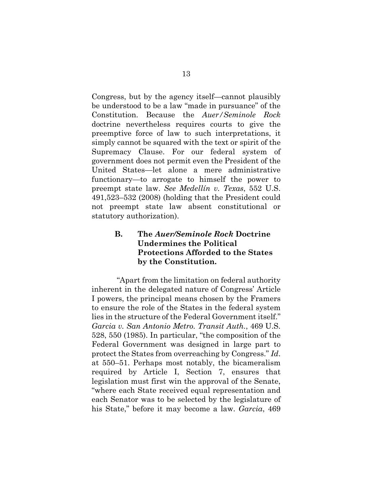Congress, but by the agency itself—cannot plausibly be understood to be a law "made in pursuance" of the Constitution. Because the *Auer/Seminole Rock* doctrine nevertheless requires courts to give the preemptive force of law to such interpretations, it simply cannot be squared with the text or spirit of the Supremacy Clause. For our federal system of government does not permit even the President of the United States—let alone a mere administrative functionary—to arrogate to himself the power to preempt state law. *See Medellín v. Texas*, 552 U.S. 491,523–532 (2008) (holding that the President could not preempt state law absent constitutional or statutory authorization).

## **B. The** *Auer/Seminole Rock* **Doctrine Undermines the Political Protections Afforded to the States by the Constitution.**

 "Apart from the limitation on federal authority inherent in the delegated nature of Congress' Article I powers, the principal means chosen by the Framers to ensure the role of the States in the federal system lies in the structure of the Federal Government itself." *Garcia v. San Antonio Metro. Transit Auth.*, 469 U.S. 528, 550 (1985). In particular, "the composition of the Federal Government was designed in large part to protect the States from overreaching by Congress." *Id*. at 550–51. Perhaps most notably, the bicameralism required by Article I, Section 7, ensures that legislation must first win the approval of the Senate, "where each State received equal representation and each Senator was to be selected by the legislature of his State," before it may become a law. *Garcia*, 469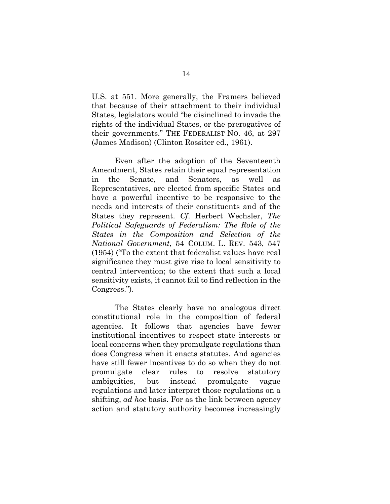U.S. at 551. More generally, the Framers believed that because of their attachment to their individual States, legislators would "be disinclined to invade the rights of the individual States, or the prerogatives of their governments." THE FEDERALIST NO. 46, at 297 (James Madison) (Clinton Rossiter ed., 1961).

Even after the adoption of the Seventeenth Amendment, States retain their equal representation in the Senate, and Senators, as well as Representatives, are elected from specific States and have a powerful incentive to be responsive to the needs and interests of their constituents and of the States they represent. *Cf*. Herbert Wechsler, *The Political Safeguards of Federalism: The Role of the States in the Composition and Selection of the National Government*, 54 COLUM. L. REV. 543, 547 (1954) ("To the extent that federalist values have real significance they must give rise to local sensitivity to central intervention; to the extent that such a local sensitivity exists, it cannot fail to find reflection in the Congress.").

The States clearly have no analogous direct constitutional role in the composition of federal agencies. It follows that agencies have fewer institutional incentives to respect state interests or local concerns when they promulgate regulations than does Congress when it enacts statutes. And agencies have still fewer incentives to do so when they do not promulgate clear rules to resolve statutory ambiguities, but instead promulgate vague regulations and later interpret those regulations on a shifting, *ad hoc* basis. For as the link between agency action and statutory authority becomes increasingly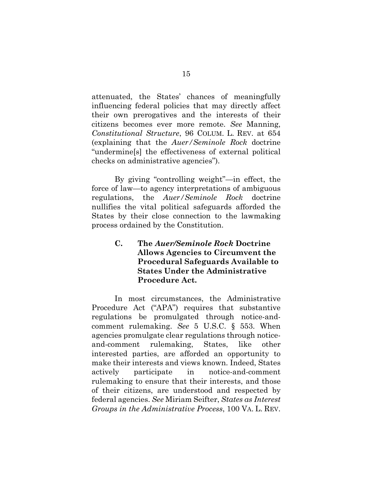attenuated, the States' chances of meaningfully influencing federal policies that may directly affect their own prerogatives and the interests of their citizens becomes ever more remote. *See* Manning, *Constitutional Structure*, 96 COLUM. L. REV. at 654 (explaining that the *Auer/Seminole Rock* doctrine "undermine[s] the effectiveness of external political checks on administrative agencies").

By giving "controlling weight"—in effect, the force of law—to agency interpretations of ambiguous regulations, the *Auer/Seminole Rock* doctrine nullifies the vital political safeguards afforded the States by their close connection to the lawmaking process ordained by the Constitution.

## **C. The** *Auer/Seminole Rock* **Doctrine Allows Agencies to Circumvent the Procedural Safeguards Available to States Under the Administrative Procedure Act.**

In most circumstances, the Administrative Procedure Act ("APA") requires that substantive regulations be promulgated through notice-andcomment rulemaking. *See* 5 U.S.C. § 553. When agencies promulgate clear regulations through noticeand-comment rulemaking, States, like other interested parties, are afforded an opportunity to make their interests and views known. Indeed, States actively participate in notice-and-comment rulemaking to ensure that their interests, and those of their citizens, are understood and respected by federal agencies. *See* Miriam Seifter, *States as Interest Groups in the Administrative Process*, 100 VA. L. REV.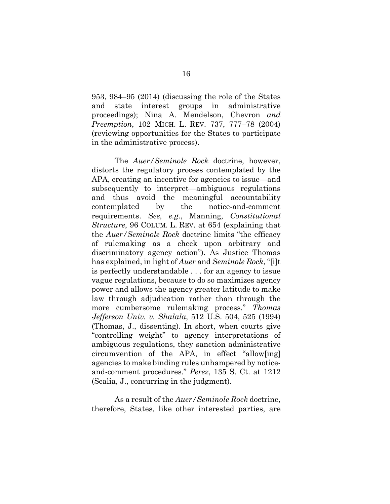953, 984–95 (2014) (discussing the role of the States and state interest groups in administrative proceedings); Nina A. Mendelson, Chevron *and Preemption*, 102 MICH. L. REV. 737, 777–78 (2004) (reviewing opportunities for the States to participate in the administrative process).

The *Auer/Seminole Rock* doctrine, however, distorts the regulatory process contemplated by the APA, creating an incentive for agencies to issue—and subsequently to interpret—ambiguous regulations and thus avoid the meaningful accountability contemplated by the notice-and-comment requirements. *See, e.g*., Manning, *Constitutional Structure*, 96 COLUM. L. REV. at 654 (explaining that the *Auer/Seminole Rock* doctrine limits "the efficacy of rulemaking as a check upon arbitrary and discriminatory agency action"). As Justice Thomas has explained, in light of *Auer* and *Seminole Rock*, "[i]t is perfectly understandable . . . for an agency to issue vague regulations, because to do so maximizes agency power and allows the agency greater latitude to make law through adjudication rather than through the more cumbersome rulemaking process." *Thomas Jefferson Univ. v. Shalala*, 512 U.S. 504, 525 (1994) (Thomas, J., dissenting). In short, when courts give "controlling weight" to agency interpretations of ambiguous regulations, they sanction administrative circumvention of the APA, in effect "allow[ing] agencies to make binding rules unhampered by noticeand-comment procedures." *Perez*, 135 S. Ct. at 1212 (Scalia, J., concurring in the judgment).

As a result of the *Auer/Seminole Rock* doctrine, therefore, States, like other interested parties, are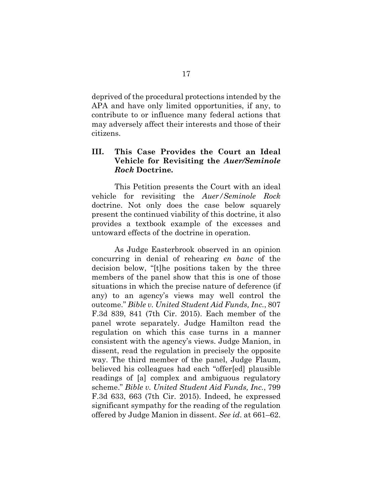deprived of the procedural protections intended by the APA and have only limited opportunities, if any, to contribute to or influence many federal actions that may adversely affect their interests and those of their citizens.

#### **III. This Case Provides the Court an Ideal Vehicle for Revisiting the** *Auer/Seminole Rock* **Doctrine***.*

This Petition presents the Court with an ideal vehicle for revisiting the *Auer/Seminole Rock* doctrine. Not only does the case below squarely present the continued viability of this doctrine, it also provides a textbook example of the excesses and untoward effects of the doctrine in operation.

As Judge Easterbrook observed in an opinion concurring in denial of rehearing *en banc* of the decision below, "[t]he positions taken by the three members of the panel show that this is one of those situations in which the precise nature of deference (if any) to an agency's views may well control the outcome." *Bible v. United Student Aid Funds, Inc.*, 807 F.3d 839, 841 (7th Cir. 2015). Each member of the panel wrote separately. Judge Hamilton read the regulation on which this case turns in a manner consistent with the agency's views. Judge Manion, in dissent, read the regulation in precisely the opposite way. The third member of the panel, Judge Flaum, believed his colleagues had each "offer[ed] plausible readings of [a] complex and ambiguous regulatory scheme." *Bible v. United Student Aid Funds, Inc.*, 799 F.3d 633, 663 (7th Cir. 2015). Indeed, he expressed significant sympathy for the reading of the regulation offered by Judge Manion in dissent. *See id*. at 661–62.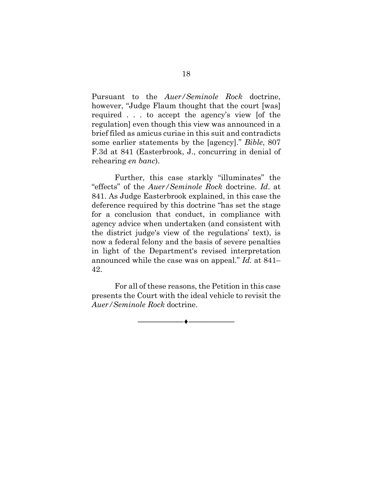Pursuant to the *Auer/Seminole Rock* doctrine, however, "Judge Flaum thought that the court [was] required . . . to accept the agency's view [of the regulation] even though this view was announced in a brief filed as amicus curiae in this suit and contradicts some earlier statements by the [agency]." *Bible*, 807 F.3d at 841 (Easterbrook, J., concurring in denial of rehearing *en banc*).

Further, this case starkly "illuminates" the "effects" of the *Auer/Seminole Rock* doctrine. *Id*. at 841. As Judge Easterbrook explained, in this case the deference required by this doctrine "has set the stage for a conclusion that conduct, in compliance with agency advice when undertaken (and consistent with the district judge's view of the regulations' text), is now a federal felony and the basis of severe penalties in light of the Department's revised interpretation announced while the case was on appeal." *Id.* at 841– 42.

For all of these reasons, the Petition in this case presents the Court with the ideal vehicle to revisit the *Auer/Seminole Rock* doctrine.

**――――――――♦――――――――**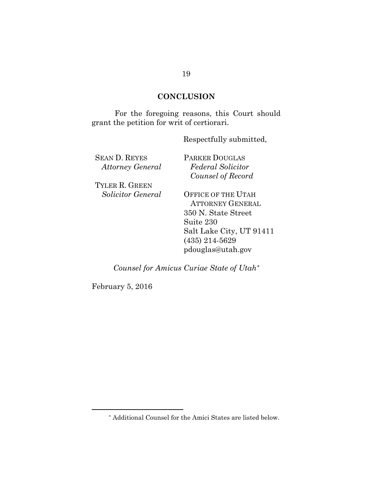## **CONCLUSION**

For the foregoing reasons, this Court should grant the petition for writ of certiorari.

Respectfully submitted,

| <b>SEAN D. REYES</b>    | <b>PARKER DOUGLAS</b>     |
|-------------------------|---------------------------|
| <b>Attorney General</b> | <b>Federal Solicitor</b>  |
|                         | Counsel of Record         |
| TYLER R. GREEN          |                           |
| Solicitor General       | <b>OFFICE OF THE UTAH</b> |
|                         | <b>ATTORNEY GENERAL</b>   |
|                         | 350 N. State Street       |
|                         | Suite 230                 |
|                         | Salt Lake City, UT 91411  |
|                         | $(435)$ 214-5629          |
|                         | pdouglas@utah.gov         |
|                         |                           |

*Counsel for Amicus Curiae State of Utah*

February 5, 2016

 Additional Counsel for the Amici States are listed below.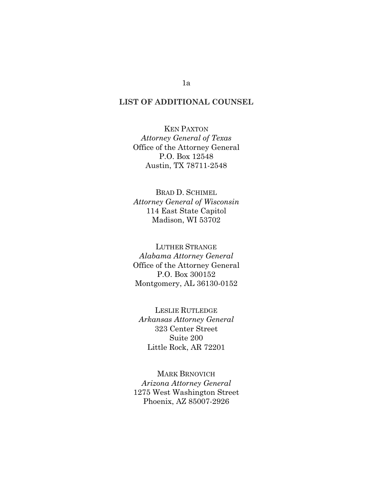#### **LIST OF ADDITIONAL COUNSEL**

KEN PAXTON *Attorney General of Texas*  Office of the Attorney General P.O. Box 12548 Austin, TX 78711-2548

BRAD D. SCHIMEL *Attorney General of Wisconsin*  114 East State Capitol Madison, WI 53702

LUTHER STRANGE *Alabama Attorney General*  Office of the Attorney General P.O. Box 300152 Montgomery, AL 36130-0152

LESLIE RUTLEDGE *Arkansas Attorney General*  323 Center Street Suite 200 Little Rock, AR 72201

MARK BRNOVICH *Arizona Attorney General*  1275 West Washington Street Phoenix, AZ 85007-2926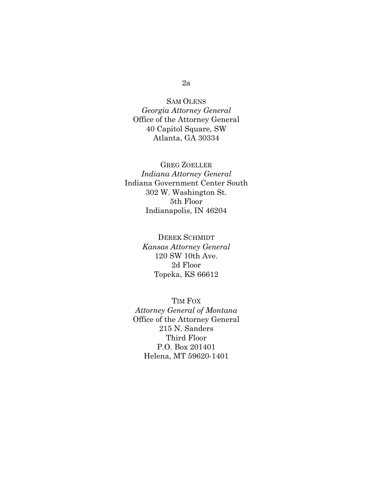#### 2a

SAM OLENS *Georgia Attorney General*  Office of the Attorney General 40 Capitol Square, SW Atlanta, GA 30334

GREG ZOELLER *Indiana Attorney General*  Indiana Government Center South 302 W. Washington St. 5th Floor Indianapolis, IN 46204

> DEREK SCHMIDT *Kansas Attorney General*  120 SW 10th Ave. 2d Floor Topeka, KS 66612

TIM FOX *Attorney General of Montana*  Office of the Attorney General 215 N. Sanders Third Floor P.O. Box 201401 Helena, MT 59620-1401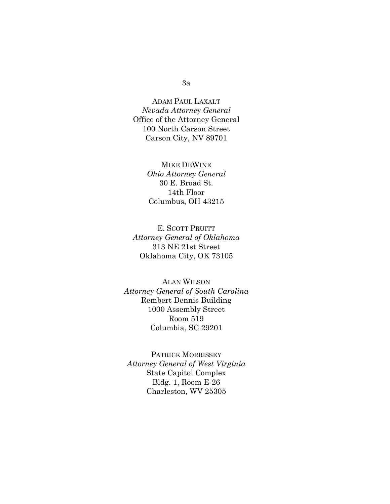#### 3a

ADAM PAUL LAXALT *Nevada Attorney General*  Office of the Attorney General 100 North Carson Street Carson City, NV 89701

> MIKE DEWINE *Ohio Attorney General*  30 E. Broad St. 14th Floor Columbus, OH 43215

E. SCOTT PRUITT *Attorney General of Oklahoma*  313 NE 21st Street Oklahoma City, OK 73105

ALAN WILSON *Attorney General of South Carolina* Rembert Dennis Building 1000 Assembly Street Room 519 Columbia, SC 29201

PATRICK MORRISSEY *Attorney General of West Virginia*  State Capitol Complex Bldg. 1, Room E-26 Charleston, WV 25305